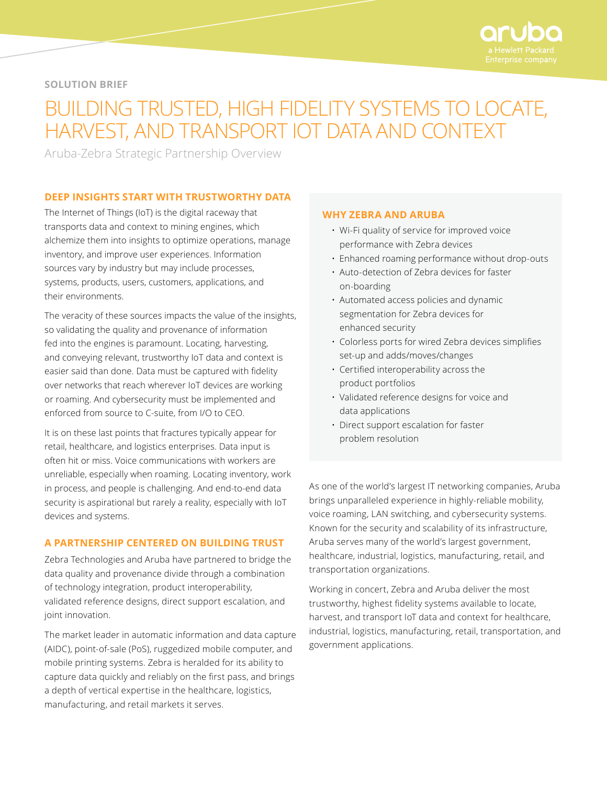

# **SOLUTION BRIEF**

# BUILDING TRUSTED, HIGH FIDELITY SYSTEMS TO LOCATE, HARVEST, AND TRANSPORT IOT DATA AND CONTEXT

Aruba-Zebra Strategic Partnership Overview

## **DEEP INSIGHTS START WITH TRUSTWORTHY DATA**

The Internet of Things (IoT) is the digital raceway that transports data and context to mining engines, which alchemize them into insights to optimize operations, manage inventory, and improve user experiences. Information sources vary by industry but may include processes, systems, products, users, customers, applications, and their environments.

The veracity of these sources impacts the value of the insights, so validating the quality and provenance of information fed into the engines is paramount. Locating, harvesting, and conveying relevant, trustworthy IoT data and context is easier said than done. Data must be captured with fidelity over networks that reach wherever IoT devices are working or roaming. And cybersecurity must be implemented and enforced from source to C-suite, from I/O to CEO.

It is on these last points that fractures typically appear for retail, healthcare, and logistics enterprises. Data input is often hit or miss. Voice communications with workers are unreliable, especially when roaming. Locating inventory, work in process, and people is challenging. And end-to-end data security is aspirational but rarely a reality, especially with IoT devices and systems.

# **A PARTNERSHIP CENTERED ON BUILDING TRUST**

Zebra Technologies and Aruba have partnered to bridge the data quality and provenance divide through a combination of technology integration, product interoperability, validated reference designs, direct support escalation, and joint innovation.

The market leader in automatic information and data capture (AIDC), point-of-sale (PoS), ruggedized mobile computer, and mobile printing systems. Zebra is heralded for its ability to capture data quickly and reliably on the first pass, and brings a depth of vertical expertise in the healthcare, logistics, manufacturing, and retail markets it serves.

#### **WHY ZEBRA AND ARUBA**

- Wi-Fi quality of service for improved voice performance with Zebra devices
- Enhanced roaming performance without drop-outs
- Auto-detection of Zebra devices for faster on-boarding
- Automated access policies and dynamic segmentation for Zebra devices for enhanced security
- Colorless ports for wired Zebra devices simplifies set-up and adds/moves/changes
- Certified interoperability across the product portfolios
- Validated reference designs for voice and data applications
- Direct support escalation for faster problem resolution

As one of the world's largest IT networking companies, Aruba brings unparalleled experience in highly-reliable mobility, voice roaming, LAN switching, and cybersecurity systems. Known for the security and scalability of its infrastructure, Aruba serves many of the world's largest government, healthcare, industrial, logistics, manufacturing, retail, and transportation organizations.

Working in concert, Zebra and Aruba deliver the most trustworthy, highest fidelity systems available to locate, harvest, and transport IoT data and context for healthcare, industrial, logistics, manufacturing, retail, transportation, and government applications.